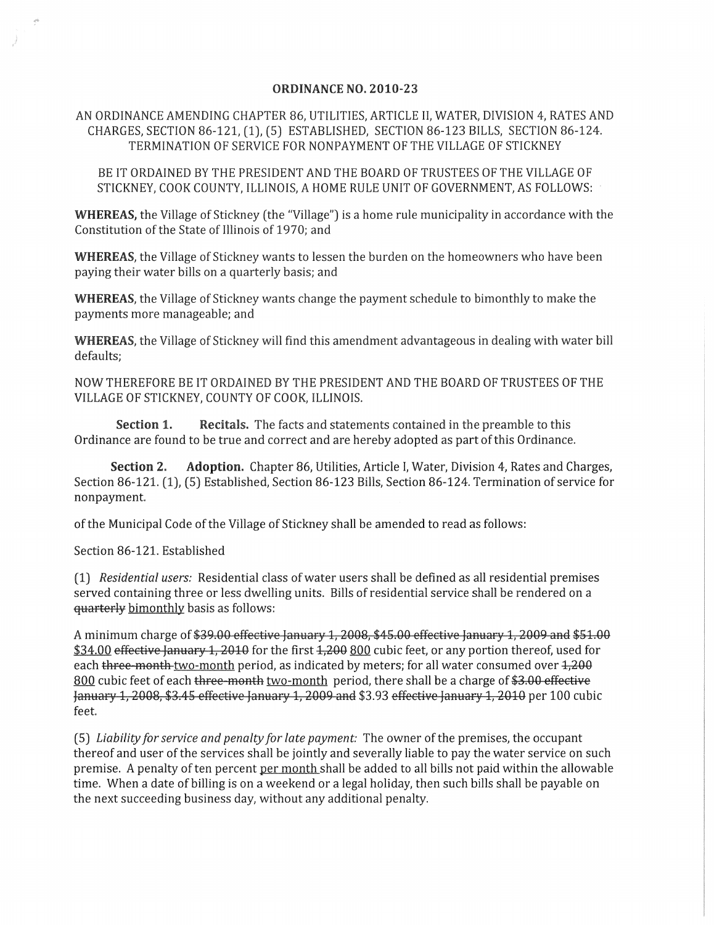## ORDINANCE NO. 2010-23

AN ORDINANCE AMENDING CHAPTER 86, UTILITIES, ARTICLE II, WATER, DIVISION 4, RATES AND CHARGES, SECTION 86-121, (1), (5) ESTABLISHED, SECTION 86-123 BILLS, SECTION 86-124. TERMINATION OF SERVICE FOR NONPAYMENT OF THE VILLAGE OF STICKNEY

BE IT ORDAINED BY THE PRESIDENT AND THE BOARD OF TRUSTEES OF THE VILLAGE OF STICKNEY, COOK COUNTY, ILLINOIS, A HOME RULE UNIT OF GOVERNMENT, AS FOLLOWS:

WHEREAS, the Village of Stickney (the "Village") is a home rule municipality in accordance with the Constitution of the State of Illinois of 1970; and

WHEREAS, the Village of Stickney wants to lessen the burden on the homeowners who have been paying their water bills on a quarterly basis; and

WHEREAS, the Village of Stickney wants change the payment schedule to bimonthly to make the payments more manageable; and

WHEREAS, the Village of Stickney will find this amendment advantageous in dealing with water bill defaults;

NOW THEREFORE BE IT ORDAINED BY THE PRESIDENT AND THE BOARD OF TRUSTEES OF THE VILLAGE OF STICKNEY, COUNTY OF COOK, ILLINOIS.

Section 1. Recitals. The facts and statements contained in the preamble to this Ordinance are found to be true and correct and are hereby adopted as part of this Ordinance.

Section 2. Adoption. Chapter 86, Utilities, Article I, Water, Division 4, Rates and Charges, Section 86-121. (1), (5) Established, Section 86-123 Bills, Section 86-124. Termination of service for nonpayment.

of the Municipal Code of the Village of Stickney shall be amended to read as follows:

Section 86-121. Established

(1) *Residential users:* Residential class of water users shall be defined as all residential premises served containing three or less dwelling units. Bills of residential service shall be rendered on a quarterly bimonthly basis as follows:

A minimum charge of \$39.00 effective January 1, 2008, \$45.00 effective January 1, 2009 and \$51.00 \$34.00 effective January 1, 2010 for the first  $1,200800$  cubic feet, or any portion thereof, used for each three-month two-month period, as indicated by meters; for all water consumed over  $1,200$ 800 cubic feet of each three-month two-month period, there shall be a charge of \$3.00 effective January 1, 2008, \$3.45 effective January 1, 2009 and \$3.93 effective January 1, 2010 per 100 cubic feet.

(5) *Liability for service and penalty for late payment:* The owner of the premises, the occupant thereof and user of the services shall be jointly and severally liable to pay the water service on such premise. A penalty of ten percent per month shall be added to all bills not paid within the allowable time. When a date of billing is on a weekend or a legal holiday, then such bills shall be payable on the next succeeding business day, without any additional penalty.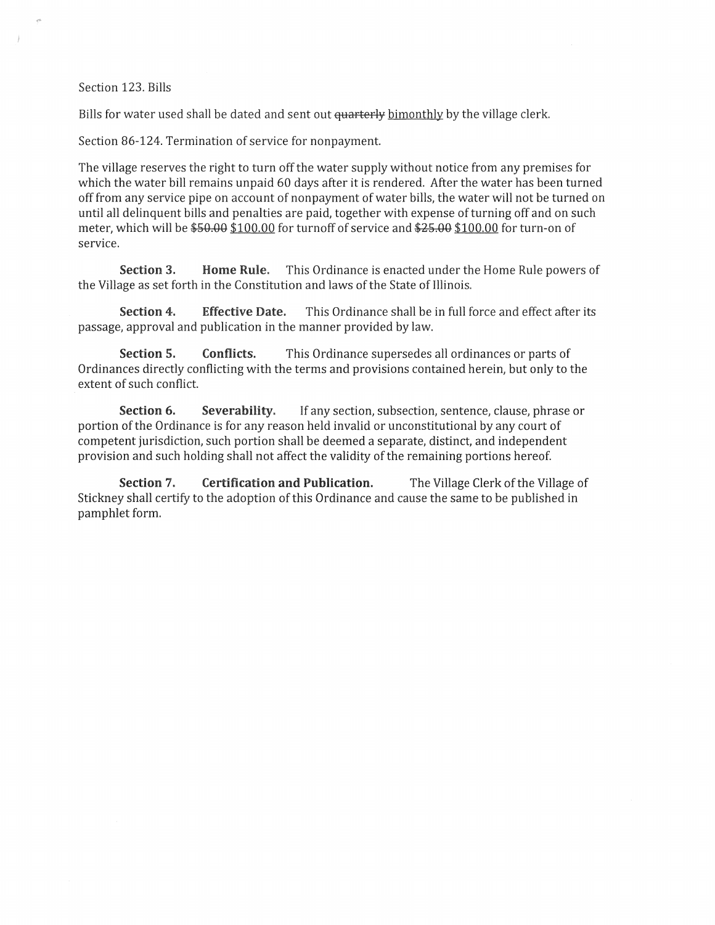Section 123. Bills

Bills for water used shall be dated and sent out <del>quarterly</del> bimonthly by the village clerk.

Section 86-124. Termination of service for nonpayment.

The village reserves the right to turn off the water supply without notice from any premises for which the water bill remains unpaid 60 days after it is rendered. After the water has been turned off from any service pipe on account of nonpayment of water bills, the water will not be turned on until all delinquent bills and penalties are paid, together with expense of turning off and on such meter, which will be  $$50.00$  \$100.00 for turnoff of service and  $$25.00$  \$100.00 for turn-on of service.

Section 3. Home Rule. This Ordinance is enacted under the Home Rule powers of the Village as set forth in the Constitution and laws of the State of Illinois.

Section 4. Effective Date. This Ordinance shall be in full force and effect after its passage, approval and publication in the manner provided by law.

Section 5. Conflicts. This Ordinance supersedes all ordinances or parts of Ordinances directly conflicting with the terms and provisions contained herein, but only to the extent of such conflict.

Section 6. Severability. If any section, subsection, sentence, clause, phrase or portion of the Ordinance is for any reason held invalid or unconstitutional by any court of competent jurisdiction, such portion shall be deemed a separate, distinct, and independent provision and such holding shall not affect the validity of the remaining portions hereof.

Section 7. Certification and Publication. The Village Clerk of the Village of Stickney shall certify to the adoption of this Ordinance and cause the same to be published in pamphlet form.